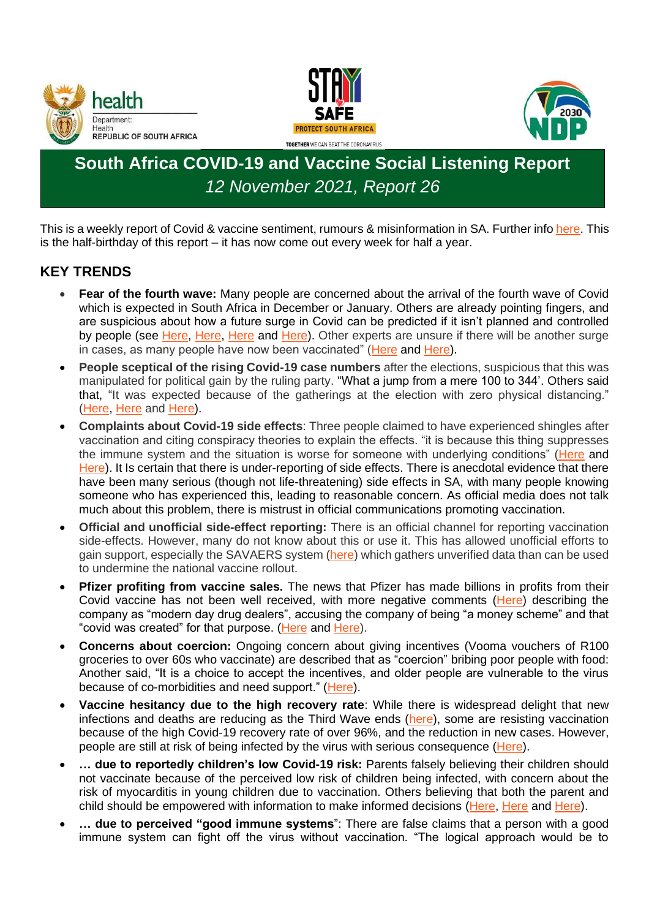





# **South Africa COVID-19 and Vaccine Social Listening Report** *12 November 2021, Report 26*

This is a weekly report of Covid & vaccine sentiment, rumours & misinformation in SA. Further info [here.](https://sacoronavirus.co.za/wp-content/uploads/2021/11/Collated-document-4-Nov-2021-V1.pdf) This is the half-birthday of this report – it has now come out every week for half a year.

## **KEY TRENDS**

- **Fear of the fourth wave:** Many people are concerned about the arrival of the fourth wave of Covid which is expected in South Africa in December or January. Others are already pointing fingers, and are suspicious about how a future surge in Covid can be predicted if it isn't planned and controlled by people (see [Here,](https://www.facebook.com/SABCNews/) [Here](https://m.facebook.com/HealthZA/photos/a.1029148150468051/4851231658259662/?type=3&source=48&refid=52&__tn__=EH-R), Here and [Here\)](https://www.facebook.com/SABCNews/). Other experts are unsure if there will be another surge in cases, as many people have now been vaccinated" [\(Here](https://l.facebook.com/l.php?u=https%3A%2F%2Fwww.sabcnews.com%2Fsabcnews%2Funcertainty-over-4th-wave-of-the-coronavirus-specialist-lessells%2F%3Ffbclid%3DIwAR1V5VXUEntH4mNYOwNLWeFbLVbeVMlIt_J0FfV_j4L2FaGTtc9mytKc9Z4&h=AT2Ihq_QEm5RkAj1KM7hAdpYKiVIR7c4aK102mFk_PB9qMFIUrkizmjpPUizp49BCjIt-A9AeM3toHM8sZwUqvdIZrMfzAZcVHXV0BxyWN-ERUwX6IYAOJDuBtkMsgkinYV6&__tn__=%2CmH-R&c%5b0%5d=AT2heVE9STX1mjmcoVvJqIGxHl6MCsaVjf0n-MnWgTgVhx443vXL27tkXfsAuJVqwt5bid56I1lujGTYnR8-VDkNjBBFydbwpQLvNfVNNMSVk-lS6frci_rmVccg2JZyezzUiruEQlMPQ7ykB2Z1Dmgu9AbfKU18y_7Oh6KvCmdZ7oxs) and [Here\)](https://www.sabcnews.com/sabcnews/pfizer-expects-2021-2022-covid-19-vaccine-sales-to-total-at-least-65-bln/).
- **People sceptical of the rising Covid-19 case numbers** after the elections, suspicious that this was manipulated for political gain by the ruling party. "What a jump from a mere 100 to 344'. Others said that, "It was expected because of the gatherings at the election with zero physical distancing." [\(Here,](https://www.sabcnews.com/sabcnews/sa-records-344-new-coronavirus-cases/?fbclid=IwAR1YLhW8hGkaEsrM8AgA1iV-FHjAYrsyBV17vRilxYrPnB7VmUG0mohT7jI) [Here](https://twitter.com/SABCNews) and [Here\)](https://www.facebook.com/SABCNews/).
- **Complaints about Covid-19 side effects**: Three people claimed to have experienced shingles after vaccination and citing conspiracy theories to explain the effects. "it is because this thing suppresses the immune system and the situation is worse for someone with underlying conditions" [\(Here](https://l.facebook.com/l.php?u=https%3A%2F%2Fwww.sabcnews.com%2Fsabcnews%2Funcertainty-over-4th-wave-of-the-coronavirus-specialist-lessells%2F%3Ffbclid%3DIwAR1V5VXUEntH4mNYOwNLWeFbLVbeVMlIt_J0FfV_j4L2FaGTtc9mytKc9Z4&h=AT2Ihq_QEm5RkAj1KM7hAdpYKiVIR7c4aK102mFk_PB9qMFIUrkizmjpPUizp49BCjIt-A9AeM3toHM8sZwUqvdIZrMfzAZcVHXV0BxyWN-ERUwX6IYAOJDuBtkMsgkinYV6&__tn__=%2CmH-R&c%5b0%5d=AT2heVE9STX1mjmcoVvJqIGxHl6MCsaVjf0n-MnWgTgVhx443vXL27tkXfsAuJVqwt5bid56I1lujGTYnR8-VDkNjBBFydbwpQLvNfVNNMSVk-lS6frci_rmVccg2JZyezzUiruEQlMPQ7ykB2Z1Dmgu9AbfKU18y_7Oh6KvCmdZ7oxs) and [Here\)](https://www.sabcnews.com/sabcnews/pfizer-expects-2021-2022-covid-19-vaccine-sales-to-total-at-least-65-bln/). It Is certain that there is under-reporting of side effects. There is anecdotal evidence that there have been many serious (though not life-threatening) side effects in SA, with many people knowing someone who has experienced this, leading to reasonable concern. As official media does not talk much about this problem, there is mistrust in official communications promoting vaccination.
- **Official and unofficial side-effect reporting:** There is an official channel for reporting vaccination side-effects. However, many do not know about this or use it. This has allowed unofficial efforts to gain support, especially the SAVAERS system [\(here\)](https://savaers.co.za/) which gathers unverified data than can be used to undermine the national vaccine rollout.
- **Pfizer profiting from vaccine sales.** The news that Pfizer has made billions in profits from their Covid vaccine has not been well received, with more negative comments [\(Here\)](https://l.facebook.com/l.php?u=https%3A%2F%2Fwww.sabcnews.com%2Fsabcnews%2Fpfizer-expects-2021-2022-covid-19-vaccine-sales-to-total-at-least-65-bln%2F%3Ffbclid%3DIwAR2HPC6q5672DfcEaKslVcjULlagN3up36iaXG5PCraB9CbZJCxpJX9kTgs&h=AT3ZSd3Vj6hLvc9noR6SACfpdrS4QrKyvUnoNjfJOdm1nAWUd3mo8cL_ucBzQqiJpD15fC9dPrIPGJ68GtVRCk6JQ5GIucf02uUoCvTi-5A3ugTsioRmi5ccEUl5yZiTVw5e&__tn__=-UK-R&c%5b0%5d=AT1GQyjjQZMhgNyd23cWgyI-zOGySmjTiXtC8eCAKOzU1IpE_0kLRTQemu7XbdXkSi2uuyMUz8_1aGueusXpr-HXUZSfyYHVta76wZG6IRLjS4A9chDsDgcFFUQGbgY7DvrVFRVDSEqhJtn6L22p_n8w0cIgYacYPszW01h9wo_s-w30) describing the company as "modern day drug dealers", accusing the company of being "a money scheme" and that "covid was created" for that purpose. [\(Here](https://www.facebook.com/SABCNews/) and [Here\)](https://www.sabcnews.com/sabcnews/pfizer-expects-2021-2022-covid-19-vaccine-sales-to-total-at-least-65-bln/).
- **Concerns about coercion:** Ongoing concern about giving incentives (Vooma vouchers of R100 groceries to over 60s who vaccinate) are described that as "coercion" bribing poor people with food: Another said, "It is a choice to accept the incentives, and older people are vulnerable to the virus because of co-morbidities and need support." [\(Here\)](https://m.facebook.com/HealthZA/photos/a.1029148150468051/4851231658259662/?type=3&source=48&refid=52&__tn__=EH-R).
- **Vaccine hesitancy due to the high recovery rate**: While there is widespread delight that new infections and deaths are reducing as the Third Wave ends [\(here\)](https://www.news24.com/news24/southafrica/news/tembisa-hospital-has-discharged-its-last-two-covid-19-patients-20211104), some are resisting vaccination because of the high Covid-19 recovery rate of over 96%, and the reduction in new cases. However, people are still at risk of being infected by the virus with serious consequence [\(Here\)](https://m.facebook.com/HealthZA/photos/a.1029148150468051/4838939756155519/?type=3&source=48&__tn__=EH-R).
- **… due to reportedly children's low Covid-19 risk:** Parents falsely believing their children should not vaccinate because of the perceived low risk of children being infected, with concern about the risk of myocarditis in young children due to vaccination. Others believing that both the parent and child should be empowered with information to make informed decisions [\(Here,](https://m.facebook.com/HealthZA/photos/a.1029148150468051/4851231658259662/?type=3&source=48&refid=52&__tn__=EH-R) [Here](https://www.npr.org/sections/health-shots/2021/11/03/1051299050/covid-vaccine-kids-5-11) and [Here\)](https://theconversation.com/ethical-decisions-weighing-risks-and-benefits-of-approving-covid-19-vaccination-in-children-ages-5-11-169820).
- **… due to perceived "good immune systems**": There are false claims that a person with a good immune system can fight off the virus without vaccination. "The logical approach would be to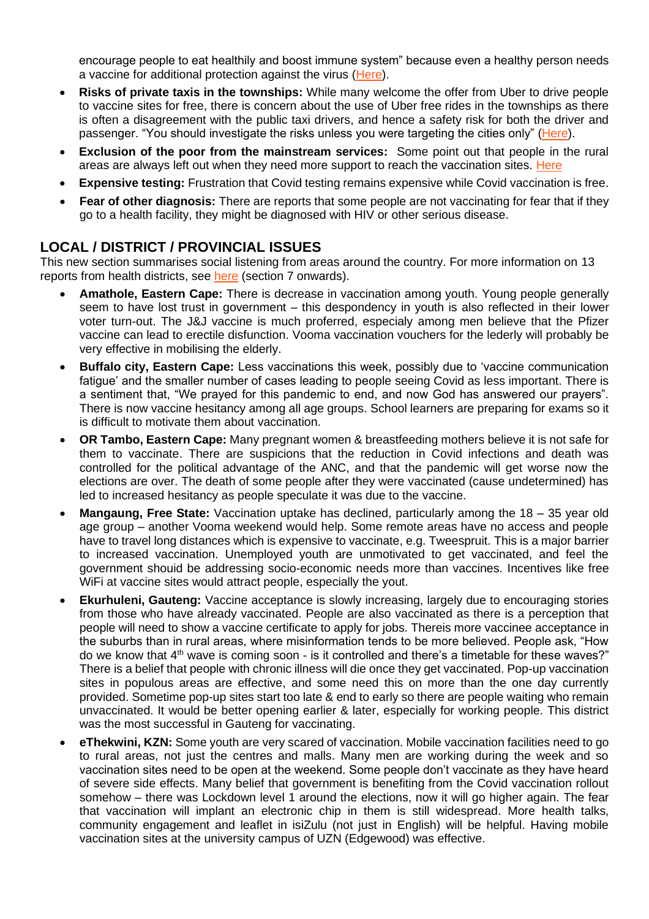encourage people to eat healthily and boost immune system" because even a healthy person needs a vaccine for additional protection against the virus [\(Here\)](https://m.facebook.com/HealthZA/photos/a.1029148150468051/4851231658259662/?type=3&source=48&refid=52&__tn__=EH-R).

- **Risks of private taxis in the townships:** While many welcome the offer from Uber to drive people to vaccine sites for free, there is concern about the use of Uber free rides in the townships as there is often a disagreement with the public taxi drivers, and hence a safety risk for both the driver and passenger. "You should investigate the risks unless you were targeting the cities only" [\(Here\)](https://m.facebook.com/HealthZA/photos/a.1029148150468051/4851231658259662/?type=3&source=48&refid=52&__tn__=EH-R).
- **Exclusion of the poor from the mainstream services:** Some point out that people in the rural areas are always left out when they need more support to reach the vaccination sites. [Here](https://m.facebook.com/HealthZA/photos/a.1029148150468051/4851231658259662/?type=3&source=48&refid=52&__tn__=EH-R)
- **Expensive testing:** Frustration that Covid testing remains expensive while Covid vaccination is free.
- **Fear of other diagnosis:** There are reports that some people are not vaccinating for fear that if they go to a health facility, they might be diagnosed with HIV or other serious disease.

### **LOCAL / DISTRICT / PROVINCIAL ISSUES**

This new section summarises social listening from areas around the country. For more information on 13 reports from health districts, see [here](https://sacoronavirus.co.za/wp-content/uploads/2021/11/Collated-document-4-Nov-2021-V1.pdf) (section 7 onwards).

- **Amathole, Eastern Cape:** There is decrease in vaccination among youth. Young people generally seem to have lost trust in government – this despondency in youth is also reflected in their lower voter turn-out. The J&J vaccine is much proferred, especialy among men believe that the Pfizer vaccine can lead to erectile disfunction. Vooma vaccination vouchers for the lederly will probably be very effective in mobilising the elderly.
- **Buffalo city, Eastern Cape:** Less vaccinations this week, possibly due to 'vaccine communication fatigue' and the smaller number of cases leading to people seeing Covid as less important. There is a sentiment that, "We prayed for this pandemic to end, and now God has answered our prayers". There is now vaccine hesitancy among all age groups. School learners are preparing for exams so it is difficult to motivate them about vaccination.
- **OR Tambo, Eastern Cape:** Many pregnant women & breastfeeding mothers believe it is not safe for them to vaccinate. There are suspicions that the reduction in Covid infections and death was controlled for the political advantage of the ANC, and that the pandemic will get worse now the elections are over. The death of some people after they were vaccinated (cause undetermined) has led to increased hesitancy as people speculate it was due to the vaccine.
- **Mangaung, Free State:** Vaccination uptake has declined, particularly among the 18 35 year old age group – another Vooma weekend would help. Some remote areas have no access and people have to travel long distances which is expensive to vaccinate, e.g. Tweespruit. This is a major barrier to increased vaccination. Unemployed youth are unmotivated to get vaccinated, and feel the government shouid be addressing socio-economic needs more than vaccines. Incentives like free WiFi at vaccine sites would attract people, especially the yout.
- **Ekurhuleni, Gauteng:** Vaccine acceptance is slowly increasing, largely due to encouraging stories from those who have already vaccinated. People are also vaccinated as there is a perception that people will need to show a vaccine certificate to apply for jobs. Thereis more vaccinee acceptance in the suburbs than in rural areas, where misinformation tends to be more believed. People ask, "How do we know that 4<sup>th</sup> wave is coming soon - is it controlled and there's a timetable for these waves?" There is a belief that people with chronic illness will die once they get vaccinated. Pop-up vaccination sites in populous areas are effective, and some need this on more than the one day currently provided. Sometime pop-up sites start too late & end to early so there are people waiting who remain unvaccinated. It would be better opening earlier & later, especially for working people. This district was the most successful in Gauteng for vaccinating.
- **eThekwini, KZN:** Some youth are very scared of vaccination. Mobile vaccination facilities need to go to rural areas, not just the centres and malls. Many men are working during the week and so vaccination sites need to be open at the weekend. Some people don't vaccinate as they have heard of severe side effects. Many belief that government is benefiting from the Covid vaccination rollout somehow – there was Lockdown level 1 around the elections, now it will go higher again. The fear that vaccination will implant an electronic chip in them is still widespread. More health talks, community engagement and leaflet in isiZulu (not just in English) will be helpful. Having mobile vaccination sites at the university campus of UZN (Edgewood) was effective.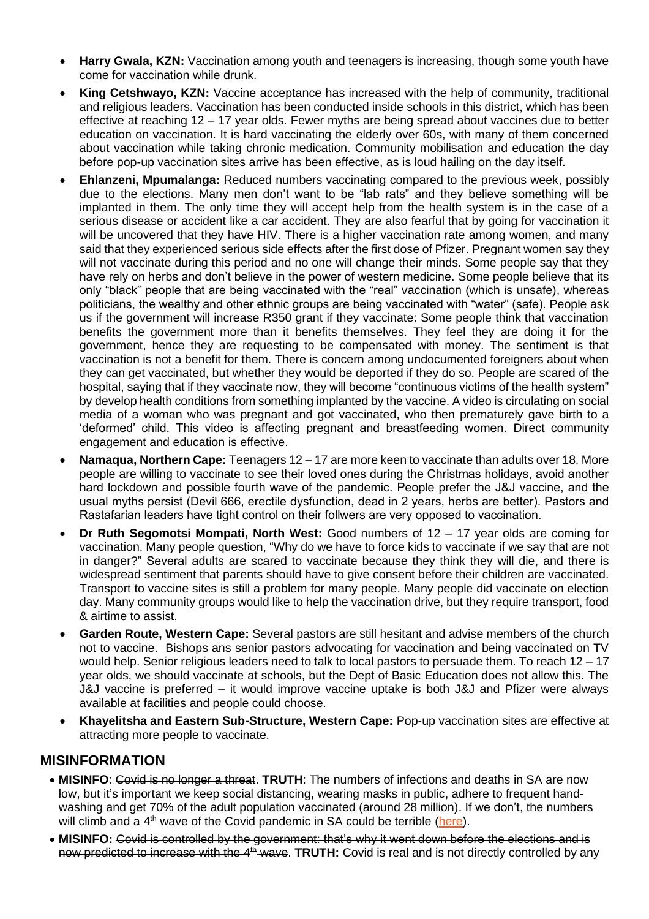- **Harry Gwala, KZN:** Vaccination among youth and teenagers is increasing, though some youth have come for vaccination while drunk.
- **King Cetshwayo, KZN:** Vaccine acceptance has increased with the help of community, traditional and religious leaders. Vaccination has been conducted inside schools in this district, which has been effective at reaching 12 – 17 year olds. Fewer myths are being spread about vaccines due to better education on vaccination. It is hard vaccinating the elderly over 60s, with many of them concerned about vaccination while taking chronic medication. Community mobilisation and education the day before pop-up vaccination sites arrive has been effective, as is loud hailing on the day itself.
- **Ehlanzeni, Mpumalanga:** Reduced numbers vaccinating compared to the previous week, possibly due to the elections. Many men don't want to be "lab rats" and they believe something will be implanted in them. The only time they will accept help from the health system is in the case of a serious disease or accident like a car accident. They are also fearful that by going for vaccination it will be uncovered that they have HIV. There is a higher vaccination rate among women, and many said that they experienced serious side effects after the first dose of Pfizer. Pregnant women say they will not vaccinate during this period and no one will change their minds. Some people say that they have rely on herbs and don't believe in the power of western medicine. Some people believe that its only "black" people that are being vaccinated with the "real" vaccination (which is unsafe), whereas politicians, the wealthy and other ethnic groups are being vaccinated with "water" (safe). People ask us if the government will increase R350 grant if they vaccinate: Some people think that vaccination benefits the government more than it benefits themselves. They feel they are doing it for the government, hence they are requesting to be compensated with money. The sentiment is that vaccination is not a benefit for them. There is concern among undocumented foreigners about when they can get vaccinated, but whether they would be deported if they do so. People are scared of the hospital, saying that if they vaccinate now, they will become "continuous victims of the health system" by develop health conditions from something implanted by the vaccine. A video is circulating on social media of a woman who was pregnant and got vaccinated, who then prematurely gave birth to a 'deformed' child. This video is affecting pregnant and breastfeeding women. Direct community engagement and education is effective.
- **Namaqua, Northern Cape:** Teenagers 12 17 are more keen to vaccinate than adults over 18. More people are willing to vaccinate to see their loved ones during the Christmas holidays, avoid another hard lockdown and possible fourth wave of the pandemic. People prefer the J&J vaccine, and the usual myths persist (Devil 666, erectile dysfunction, dead in 2 years, herbs are better). Pastors and Rastafarian leaders have tight control on their follwers are very opposed to vaccination.
- **Dr Ruth Segomotsi Mompati, North West:** Good numbers of 12 17 year olds are coming for vaccination. Many people question, "Why do we have to force kids to vaccinate if we say that are not in danger?" Several adults are scared to vaccinate because they think they will die, and there is widespread sentiment that parents should have to give consent before their children are vaccinated. Transport to vaccine sites is still a problem for many people. Many people did vaccinate on election day. Many community groups would like to help the vaccination drive, but they require transport, food & airtime to assist.
- **Garden Route, Western Cape:** Several pastors are still hesitant and advise members of the church not to vaccine. Bishops ans senior pastors advocating for vaccination and being vaccinated on TV would help. Senior religious leaders need to talk to local pastors to persuade them. To reach 12 – 17 year olds, we should vaccinate at schools, but the Dept of Basic Education does not allow this. The J&J vaccine is preferred – it would improve vaccine uptake is both J&J and Pfizer were always available at facilities and people could choose.
- **Khayelitsha and Eastern Sub-Structure, Western Cape:** Pop-up vaccination sites are effective at attracting more people to vaccinate.

## **MISINFORMATION**

- **MISINFO**: Covid is no longer a threat. **TRUTH**: The numbers of infections and deaths in SA are now low, but it's important we keep social distancing, wearing masks in public, adhere to frequent handwashing and get 70% of the adult population vaccinated (around 28 million). If we don't, the numbers will climb and a 4<sup>th</sup> wave of the Covid pandemic in SA could be terrible [\(here\)](https://health-e.org.za/2021/10/20/gauteng-could-be-weeks-away-from-a-fourth-wave-of-covid-19/).
- **MISINFO:** Covid is controlled by the government: that's why it went down before the elections and is now predicted to increase with the 4<sup>th</sup> wave. **TRUTH:** Covid is real and is not directly controlled by any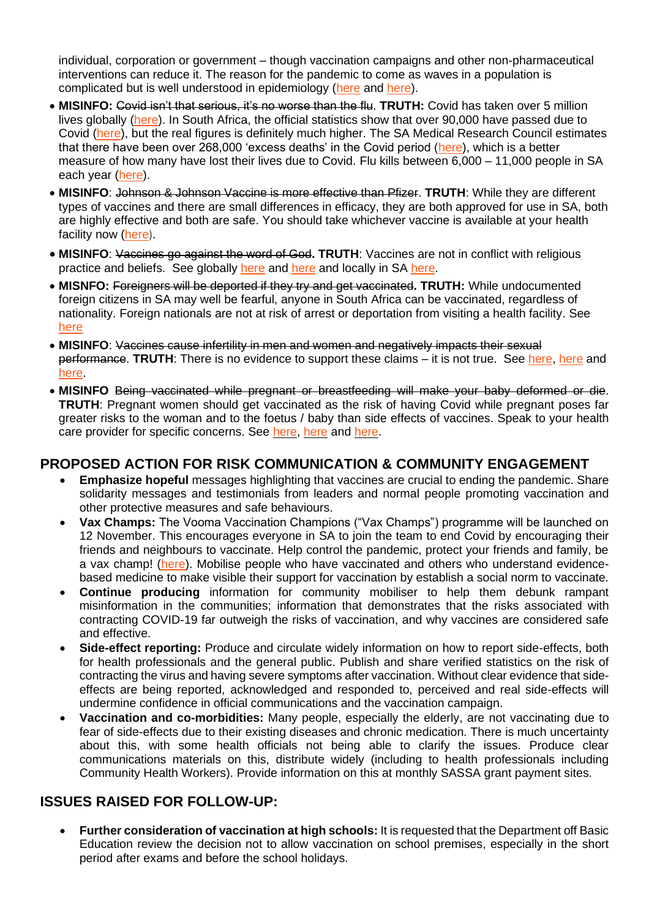individual, corporation or government – though vaccination campaigns and other non-pharmaceutical interventions can reduce it. The reason for the pandemic to come as waves in a population is complicated but is well understood in epidemiology [\(here](https://www.medpagetoday.com/infectiousdisease/covid19/89599) and [here\)](https://health-e.org.za/2021/10/20/gauteng-could-be-weeks-away-from-a-fourth-wave-of-covid-19/).

- **MISINFO:** Covid isn't that serious, it's no worse than the flu. **TRUTH:** Covid has taken over 5 million lives globally [\(here\)](https://www.worldometers.info/coronavirus/). In South Africa, the official statistics show that over 90,000 have passed due to Covid [\(here\)](https://sacoronavirus.co.za/wp-content/uploads/2021/11/Collated-document-28-Oct-2021.pdf), but the real figures is definitely much higher. The SA Medical Research Council estimates that there have been over 268,000 'excess deaths' in the Covid period [\(here\)](https://www.samrc.ac.za/reports/report-weekly-deaths-south-africa), which is a better measure of how many have lost their lives due to Covid. Flu kills between 6,000 – 11,000 people in SA each year [\(here\)](https://lunginstitute.co.za/2020/03/04/thousands-die-from-flu-every-year-in-sa/).
- **MISINFO**: Johnson & Johnson Vaccine is more effective than Pfizer. **TRUTH**: While they are different types of vaccines and there are small differences in efficacy, they are both approved for use in SA, both are highly effective and both are safe. You should take whichever vaccine is available at your health facility now [\(here](https://www.yalemedicine.org/news/covid-19-vaccine-comparison)).
- **MISINFO**: Vaccines go against the word of God**. TRUTH**: Vaccines are not in conflict with religious practice and beliefs. See globally [here](https://biologos.org/common-questions/should-christians-get-vaccinated/) and [here](https://www.vumc.org/health-wellness/news-resource-articles/immunizations-and-religion) and locally in SA [here.](https://www.sabcnews.com/sabcnews/more-than-400-sa-church-leaders-vaccinated-since-may/)
- **MISNFO:** Foreigners will be deported if they try and get vaccinated**. TRUTH:** While undocumented foreign citizens in SA may well be fearful, anyone in South Africa can be vaccinated, regardless of nationality. Foreign nationals are not at risk of arrest or deportation from visiting a health facility. See [here](https://www.news24.com/witness/news/kzn/undocumented-immigrants-offered-covid-19-jab-without-risk-of-being-deported-20211009)
- **MISINFO**: Vaccines cause infertility in men and women and negatively impacts their sexual performance. **TRUTH**: There is no evidence to support these claims – it is not true. See [here,](https://www.scientificamerican.com/article/covid-vaccines-show-no-signs-of-harming-fertility-or-sexual-function/) [here](https://theconversation.com/covid-19-could-cause-male-infertility-and-sexual-dysfunction-but-vaccines-do-not-164139) and [here.](https://apnews.com/article/fact-checking-761312111015)
- **MISINFO** Being vaccinated while pregnant or breastfeeding will make your baby deformed or die. **TRUTH**: Pregnant women should get vaccinated as the risk of having Covid while pregnant poses far greater risks to the woman and to the foetus / baby than side effects of vaccines. Speak to your health care provider for specific concerns. See [here,](https://www.theguardian.com/lifeandstyle/2021/oct/05/pregnant-women-not-taking-vaccine) [here](https://www.pregnancybirthbaby.org.au/news/covid-19-vaccination-and-pregnancy) and [here.](https://www.hopkinsmedicine.org/health/conditions-and-diseases/coronavirus/the-covid19-vaccine-and-pregnancy-what-you-need-to-know)

### **PROPOSED ACTION FOR RISK COMMUNICATION & COMMUNITY ENGAGEMENT**

- **Emphasize hopeful** messages highlighting that vaccines are crucial to ending the pandemic. Share solidarity messages and testimonials from leaders and normal people promoting vaccination and other protective measures and safe behaviours.
- **Vax Champs:** The Vooma Vaccination Champions ("Vax Champs") programme will be launched on 12 November. This encourages everyone in SA to join the team to end Covid by encouraging their friends and neighbours to vaccinate. Help control the pandemic, protect your friends and family, be a vax champ! [\(here\)](http://www.vaxchamp.org.za/). Mobilise people who have vaccinated and others who understand evidencebased medicine to make visible their support for vaccination by establish a social norm to vaccinate.
- **Continue producing** information for community mobiliser to help them debunk rampant misinformation in the communities; information that demonstrates that the risks associated with contracting COVID-19 far outweigh the risks of vaccination, and why vaccines are considered safe and effective.
- **Side-effect reporting:** Produce and circulate widely information on how to report side-effects, both for health professionals and the general public. Publish and share verified statistics on the risk of contracting the virus and having severe symptoms after vaccination. Without clear evidence that sideeffects are being reported, acknowledged and responded to, perceived and real side-effects will undermine confidence in official communications and the vaccination campaign.
- **Vaccination and co-morbidities:** Many people, especially the elderly, are not vaccinating due to fear of side-effects due to their existing diseases and chronic medication. There is much uncertainty about this, with some health officials not being able to clarify the issues. Produce clear communications materials on this, distribute widely (including to health professionals including Community Health Workers). Provide information on this at monthly SASSA grant payment sites.

### **ISSUES RAISED FOR FOLLOW-UP:**

• **Further consideration of vaccination at high schools:** It is requested that the Department off Basic Education review the decision not to allow vaccination on school premises, especially in the short period after exams and before the school holidays.